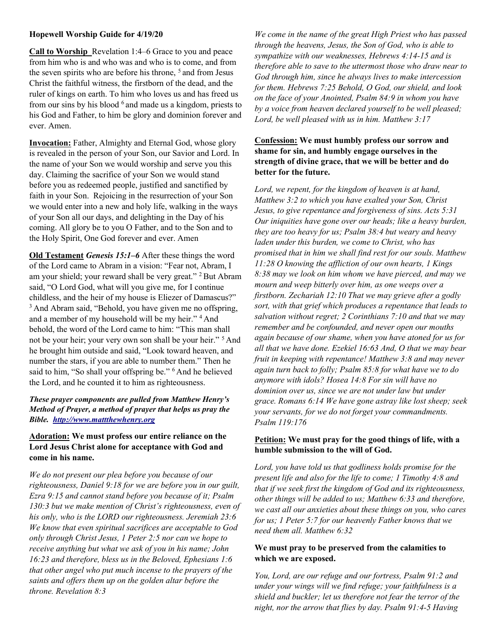### Hopewell Worship Guide for 4/19/20

Call to Worship Revelation 1:4–6 Grace to you and peace from him who is and who was and who is to come, and from the seven spirits who are before his throne, <sup>5</sup> and from Jesus Christ the faithful witness, the firstborn of the dead, and the ruler of kings on earth. To him who loves us and has freed us from our sins by his blood  $6$  and made us a kingdom, priests to his God and Father, to him be glory and dominion forever and ever. Amen.

Invocation: Father, Almighty and Eternal God, whose glory is revealed in the person of your Son, our Savior and Lord. In the name of your Son we would worship and serve you this day. Claiming the sacrifice of your Son we would stand before you as redeemed people, justified and sanctified by faith in your Son. Rejoicing in the resurrection of your Son we would enter into a new and holy life, walking in the ways of your Son all our days, and delighting in the Day of his coming. All glory be to you O Father, and to the Son and to the Holy Spirit, One God forever and ever. Amen

Old Testament Genesis 15:1–6 After these things the word of the Lord came to Abram in a vision: "Fear not, Abram, I am your shield; your reward shall be very great." <sup>2</sup> But Abram said, "O Lord God, what will you give me, for I continue childless, and the heir of my house is Eliezer of Damascus?" <sup>3</sup> And Abram said, "Behold, you have given me no offspring, and a member of my household will be my heir." <sup>4</sup> And behold, the word of the Lord came to him: "This man shall not be your heir; your very own son shall be your heir."<sup>5</sup> And he brought him outside and said, "Look toward heaven, and number the stars, if you are able to number them." Then he said to him, "So shall your offspring be." <sup>6</sup> And he believed the Lord, and he counted it to him as righteousness.

## These prayer components are pulled from Matthew Henry's Method of Prayer, a method of prayer that helps us pray the Bible. http://www.mattthewhenry.org

### Adoration: We must profess our entire reliance on the Lord Jesus Christ alone for acceptance with God and come in his name.

We do not present our plea before you because of our righteousness, Daniel 9:18 for we are before you in our guilt, Ezra 9:15 and cannot stand before you because of it; Psalm 130:3 but we make mention of Christ's righteousness, even of his only, who is the LORD our righteousness. Jeremiah 23:6 We know that even spiritual sacrifices are acceptable to God only through Christ Jesus, 1 Peter 2:5 nor can we hope to receive anything but what we ask of you in his name; John 16:23 and therefore, bless us in the Beloved, Ephesians 1:6 that other angel who put much incense to the prayers of the saints and offers them up on the golden altar before the throne. Revelation 8:3

We come in the name of the great High Priest who has passed through the heavens, Jesus, the Son of God, who is able to sympathize with our weaknesses, Hebrews 4:14-15 and is therefore able to save to the uttermost those who draw near to God through him, since he always lives to make intercession for them. Hebrews 7:25 Behold, O God, our shield, and look on the face of your Anointed, Psalm 84:9 in whom you have by a voice from heaven declared yourself to be well pleased; Lord, be well pleased with us in him. Matthew 3:17

## Confession: We must humbly profess our sorrow and shame for sin, and humbly engage ourselves in the strength of divine grace, that we will be better and do better for the future.

Lord, we repent, for the kingdom of heaven is at hand, Matthew 3:2 to which you have exalted your Son, Christ Jesus, to give repentance and forgiveness of sins. Acts 5:31 Our iniquities have gone over our heads; like a heavy burden, they are too heavy for us; Psalm 38:4 but weary and heavy laden under this burden, we come to Christ, who has promised that in him we shall find rest for our souls. Matthew  $11:28$  O knowing the affliction of our own hearts, 1 Kings 8:38 may we look on him whom we have pierced, and may we mourn and weep bitterly over him, as one weeps over a firstborn. Zechariah 12:10 That we may grieve after a godly sort, with that grief which produces a repentance that leads to salvation without regret; 2 Corinthians 7:10 and that we may remember and be confounded, and never open our mouths again because of our shame, when you have atoned for us for all that we have done. Ezekiel 16:63 And, O that we may bear fruit in keeping with repentance! Matthew 3:8 and may never again turn back to folly; Psalm 85:8 for what have we to do anymore with idols? Hosea 14:8 For sin will have no dominion over us, since we are not under law but under grace. Romans 6:14 We have gone astray like lost sheep; seek your servants, for we do not forget your commandments. Psalm 119:176

# Petition: We must pray for the good things of life, with a humble submission to the will of God.

Lord, you have told us that godliness holds promise for the present life and also for the life to come; 1 Timothy 4:8 and that if we seek first the kingdom of God and its righteousness, other things will be added to us; Matthew 6:33 and therefore, we cast all our anxieties about these things on you, who cares for us; 1 Peter 5:7 for our heavenly Father knows that we need them all. Matthew 6:32

#### We must pray to be preserved from the calamities to which we are exposed.

You, Lord, are our refuge and our fortress, Psalm 91:2 and under your wings will we find refuge; your faithfulness is a shield and buckler; let us therefore not fear the terror of the night, nor the arrow that flies by day. Psalm 91:4-5 Having